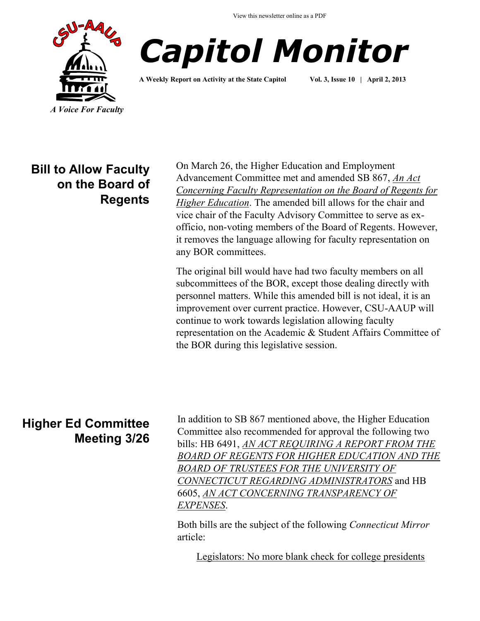View this newsletter online as a PDF





**A Weekly Report on Activity at the State Capitol Vol. 3, Issue 10 | April 2, 2013**

**Bill to Allow Faculty on the Board of Regents**

On March 26, the Higher Education and Employment Advancement Committee met and amended SB 867, *[An Act](http://www.cga.ct.gov/asp/cgabillstatus/cgabillstatus.asp?selBillType=Bill&bill_num=867&which_year=2013&SUBMIT1.x=-643&SUBMIT1.y=0&SUBMIT1=Normal)  [Concerning Faculty Representation on the Board of Regents for](http://www.cga.ct.gov/asp/cgabillstatus/cgabillstatus.asp?selBillType=Bill&bill_num=867&which_year=2013&SUBMIT1.x=-643&SUBMIT1.y=0&SUBMIT1=Normal)  [Higher Education](http://www.cga.ct.gov/asp/cgabillstatus/cgabillstatus.asp?selBillType=Bill&bill_num=867&which_year=2013&SUBMIT1.x=-643&SUBMIT1.y=0&SUBMIT1=Normal)*. The amended bill allows for the chair and vice chair of the Faculty Advisory Committee to serve as exofficio, non-voting members of the Board of Regents. However, it removes the language allowing for faculty representation on any BOR committees.

The original bill would have had two faculty members on all subcommittees of the BOR, except those dealing directly with personnel matters. While this amended bill is not ideal, it is an improvement over current practice. However, CSU-AAUP will continue to work towards legislation allowing faculty representation on the Academic & Student Affairs Committee of the BOR during this legislative session.

## **Higher Ed Committee Meeting 3/26**

In addition to SB 867 mentioned above, the Higher Education Committee also recommended for approval the following two bills: HB 6491, *[AN ACT REQUIRING A REPORT FROM THE](http://www.cga.ct.gov/asp/cgabillstatus/cgabillstatus.asp?selBillType=Bill&bill_num=6491&which_year=2013&SUBMIT1.x=-643&SUBMIT1.y=0&SUBMIT1=Normal)  [BOARD OF REGENTS FOR HIGHER EDUCATION AND THE](http://www.cga.ct.gov/asp/cgabillstatus/cgabillstatus.asp?selBillType=Bill&bill_num=6491&which_year=2013&SUBMIT1.x=-643&SUBMIT1.y=0&SUBMIT1=Normal)  [BOARD OF TRUSTEES FOR THE UNIVERSITY OF](http://www.cga.ct.gov/asp/cgabillstatus/cgabillstatus.asp?selBillType=Bill&bill_num=6491&which_year=2013&SUBMIT1.x=-643&SUBMIT1.y=0&SUBMIT1=Normal)  [CONNECTICUT REGARDING ADMINISTRATORS](http://www.cga.ct.gov/asp/cgabillstatus/cgabillstatus.asp?selBillType=Bill&bill_num=6491&which_year=2013&SUBMIT1.x=-643&SUBMIT1.y=0&SUBMIT1=Normal)* and HB 6605, *[AN ACT CONCERNING TRANSPARENCY OF](http://www.cga.ct.gov/asp/cgabillstatus/cgabillstatus.asp?selBillType=Bill&bill_num=6605&which_year=2013&SUBMIT1.x=-643&SUBMIT1.y=0&SUBMIT1=Normal)  [EXPENSES](http://www.cga.ct.gov/asp/cgabillstatus/cgabillstatus.asp?selBillType=Bill&bill_num=6605&which_year=2013&SUBMIT1.x=-643&SUBMIT1.y=0&SUBMIT1=Normal)*.

Both bills are the subject of the following *Connecticut Mirror*  article:

[Legislators: No more blank check for college presidents](http://www.ctmirror.org/story/19548/legislators-no-more-blank-check-college-presidents)